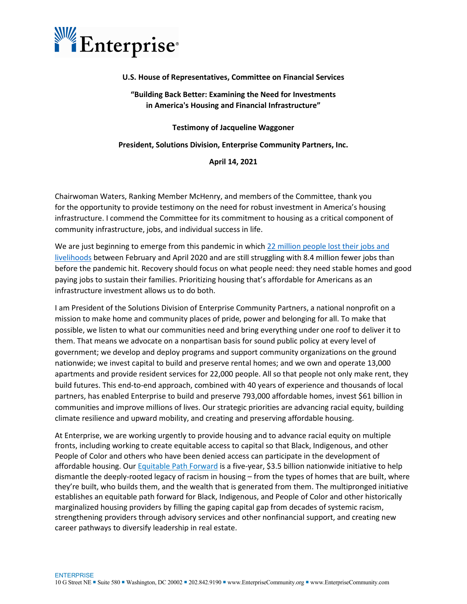

### **U.S. House of Representatives, Committee on Financial Services**

## **"Building Back Better: Examining the Need for Investments in America's Housing and Financial Infrastructure"**

**Testimony of Jacqueline Waggoner**

**President, Solutions Division, Enterprise Community Partners, Inc.**

**April 14, 2021**

Chairwoman Waters, Ranking Member McHenry, and members of the Committee, thank you for the opportunity to provide testimony on the need for robust investment in America's housing infrastructure. I commend the Committee for its commitment to housing as a critical component of community infrastructure, jobs, and individual success in life.

We are just beginning to emerge from this pandemic in which 22 million people lost their jobs and [livelihoods](https://www.bls.gov/opub/mlr/2020/article/employment-recovery.htm) between February and April 2020 and are still struggling with 8.4 million fewer jobs than before the pandemic hit. Recovery should focus on what people need: they need stable homes and good paying jobs to sustain their families. Prioritizing housing that's affordable for Americans as an infrastructure investment allows us to do both.

I am President of the Solutions Division of Enterprise Community Partners, a national nonprofit on a mission to make home and community places of pride, power and belonging for all. To make that possible, we listen to what our communities need and bring everything under one roof to deliver it to them. That means we advocate on a nonpartisan basis for sound public policy at every level of government; we develop and deploy programs and support community organizations on the ground nationwide; we invest capital to build and preserve rental homes; and we own and operate 13,000 apartments and provide resident services for 22,000 people. All so that people not only make rent, they build futures. This end-to-end approach, combined with 40 years of experience and thousands of local partners, has enabled Enterprise to build and preserve 793,000 affordable homes, invest \$61 billion in communities and improve millions of lives. Our strategic priorities are advancing racial equity, building climate resilience and upward mobility, and creating and preserving affordable housing.

At Enterprise, we are working urgently to provide housing and to advance racial equity on multiple fronts, including working to create equitable access to capital so that Black, Indigenous, and other People of Color and others who have been denied access can participate in the development of affordable housing. Ou[r Equitable Path Forward](https://www.enterprisecommunity.org/about/strategic-plan/equitable-path-forward#:%7E:text=Equitable%20Path%20Forward%20is%20a%20five-year,%20$3.5%20billion,and%20the%20wealth%20that%20is%20generated%20from%20them.) is a five-year, \$3.5 billion nationwide initiative to help dismantle the deeply-rooted legacy of racism in housing – from the types of homes that are built, where they're built, who builds them, and the wealth that is generated from them. The multipronged initiative establishes an equitable path forward for Black, Indigenous, and People of Color and other historically marginalized housing providers by filling the gaping capital gap from decades of systemic racism, strengthening providers through advisory services and other nonfinancial support, and creating new career pathways to diversify leadership in real estate.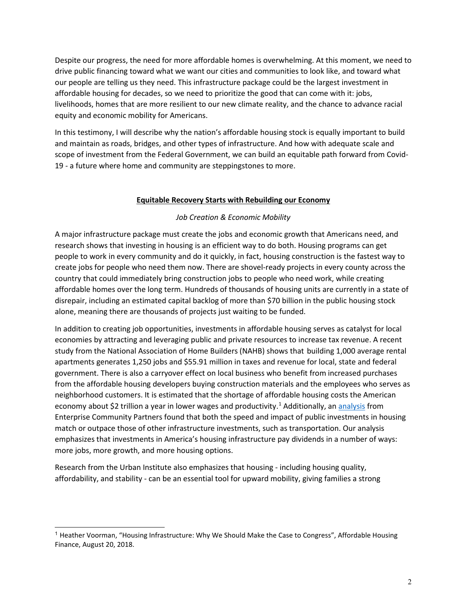Despite our progress, the need for more affordable homes is overwhelming. At this moment, we need to drive public financing toward what we want our cities and communities to look like, and toward what our people are telling us they need. This infrastructure package could be the largest investment in affordable housing for decades, so we need to prioritize the good that can come with it: jobs, livelihoods, homes that are more resilient to our new climate reality, and the chance to advance racial equity and economic mobility for Americans.

In this testimony, I will describe why the nation's affordable housing stock is equally important to build and maintain as roads, bridges, and other types of infrastructure. And how with adequate scale and scope of investment from the Federal Government, we can build an equitable path forward from Covid-19 - a future where home and community are steppingstones to more.

## **Equitable Recovery Starts with Rebuilding our Economy**

## *Job Creation & Economic Mobility*

A major infrastructure package must create the jobs and economic growth that Americans need, and research shows that investing in housing is an efficient way to do both. Housing programs can get people to work in every community and do it quickly, in fact, housing construction is the fastest way to create jobs for people who need them now. There are shovel-ready projects in every county across the country that could immediately bring construction jobs to people who need work, while creating affordable homes over the long term. Hundreds of thousands of housing units are currently in a state of disrepair, including an estimated capital backlog of more than \$70 billion in the public housing stock alone, meaning there are thousands of projects just waiting to be funded. 

In addition to creating job opportunities, investments in affordable housing serves as catalyst for local economies by attracting and leveraging public and private resources to increase tax revenue. A recent study from the National Association of Home Builders (NAHB) shows that building 1,000 average rental apartments generates 1,250 jobs and \$55.91 million in taxes and revenue for local, state and federal government. There is also a carryover effect on local business who benefit from increased purchases from the affordable housing developers buying construction materials and the employees who serves as neighborhood customers. It is estimated that the shortage of affordable housing costs the American economy about \$2 trillion a year in lower wages and productivity.<sup>[1](#page-1-0)</sup> Additionally, an [analysis](https://www.enterprisecommunity.org/blog/2016/12/bang-buck-investment-housing-infrastructure-smart) from Enterprise Community Partners found that both the speed and impact of public investments in housing match or outpace those of other infrastructure investments, such as transportation. Our analysis emphasizes that investments in America's housing infrastructure pay dividends in a number of ways: more jobs, more growth, and more housing options.   

[Research](https://www.urban.org/research/publication/why-housing-matters-upward-mobility-evidence-and-indicators-practitioners-and-policymakers) from the Urban Institute also emphasizes that housing - including housing quality, affordability, and stability - can be an essential tool for upward mobility, giving families a strong

<span id="page-1-0"></span><sup>&</sup>lt;sup>1</sup> Heather Voorman, "Housing Infrastructure: Why We Should Make the Case to Congress", Affordable Housing Finance, August 20, 2018.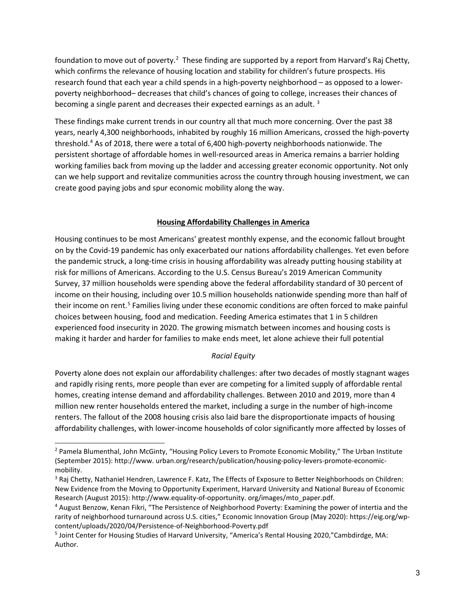foundation to move out of poverty.<sup>[2](#page-2-0)</sup> These finding are supported by a report from Harvard's Raj Chetty, which confirms the relevance of housing location and stability for children's future prospects. His research found that each year a child spends in a high-poverty neighborhood – as opposed to a lowerpoverty neighborhood– decreases that child's chances of going to college, increases their chances of becoming a single parent and decreases their expected earnings as an adult.<sup>[3](#page-2-1)</sup>

These findings make current trends in our country all that much more concerning. Over the past 38 years, nearly 4,300 neighborhoods, inhabited by roughly 16 million Americans, crossed the high-poverty threshold.[4](#page-2-2) As of 2018, there were a total of 6,400 high-poverty neighborhoods nationwide. The persistent shortage of affordable homes in well-resourced areas in America remains a barrier holding working families back from moving up the ladder and accessing greater economic opportunity. Not only can we help support and revitalize communities across the country through housing investment, we can create good paying jobs and spur economic mobility along the way.

## **Housing Affordability Challenges in America**

Housing continues to be most Americans' greatest monthly expense, and the economic fallout brought on by the Covid-19 pandemic has only exacerbated our nations affordability challenges. Yet even before the pandemic struck, a long-time crisis in housing affordability was already putting housing stability at risk for millions of Americans. According to the U.S. Census Bureau's 2019 American Community Survey, 37 million households were spending above the federal affordability standard of 30 percent of income on their housing, including over 10.5 million households nationwide spending more than half of their income on rent.<sup>5</sup> Families living under these economic conditions are often forced to make painful choices between housing, food and medication. Feeding America estimates that 1 in 5 children experienced food insecurity in 2020. The growing mismatch between incomes and housing costs is making it harder and harder for families to make ends meet, let alone achieve their full potential

## *Racial Equity*

Poverty alone does not explain our affordability challenges: after two decades of mostly stagnant wages and rapidly rising rents, more people than ever are competing for a limited supply of affordable rental homes, creating intense demand and affordability challenges. Between 2010 and 2019, more than 4 million new renter households entered the market, including a surge in the number of high-income renters. The fallout of the 2008 housing crisis also laid bare the disproportionate impacts of housing affordability challenges, with lower-income households of color significantly more affected by losses of

<span id="page-2-0"></span><sup>&</sup>lt;sup>2</sup> Pamela Blumenthal, John McGinty, "Housing Policy Levers to Promote Economic Mobility," The Urban Institute (September 2015): http://www. urban.org/research/publication/housing-policy-levers-promote-economicmobility.

<span id="page-2-1"></span><sup>&</sup>lt;sup>3</sup> Raj Chetty, Nathaniel Hendren, Lawrence F. Katz, The Effects of Exposure to Better Neighborhoods on Children: New Evidence from the Moving to Opportunity Experiment, Harvard University and National Bureau of Economic Research (August 2015): http://www.equality-of-opportunity. org/images/mto\_paper.pdf.

<span id="page-2-2"></span><sup>4</sup> August Benzow, Kenan Fikri, "The Persistence of Neighborhood Poverty: Examining the power of intertia and the rarity of neighborhood turnaround across U.S. cities," Economic Innovation Group (May 2020): https://eig.org/wpcontent/uploads/2020/04/Persistence-of-Neighborhood-Poverty.pdf

<span id="page-2-3"></span><sup>5</sup> Joint Center for Housing Studies of Harvard University, "America's Rental Housing 2020,"Cambdirdge, MA: Author.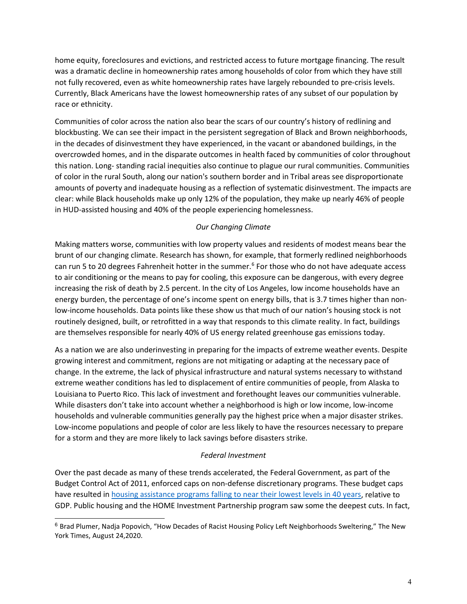home equity, foreclosures and evictions, and restricted access to future mortgage financing. The result was a dramatic decline in homeownership rates among households of color from which they have still not fully recovered, even as white homeownership rates have largely rebounded to pre-crisis levels. Currently, Black Americans have the lowest homeownership rates of any subset of our population by race or ethnicity.

Communities of color across the nation also bear the scars of our country's history of redlining and blockbusting. We can see their impact in the persistent segregation of Black and Brown neighborhoods, in the decades of disinvestment they have experienced, in the vacant or abandoned buildings, in the overcrowded homes, and in the disparate outcomes in health faced by communities of color throughout this nation. Long- standing racial inequities also continue to plague our rural communities. Communities of color in the rural South, along our nation's southern border and in Tribal areas see disproportionate amounts of poverty and inadequate housing as a reflection of systematic disinvestment. The impacts are clear: while Black households make up only 12% of the population, they make up nearly 46% of people in HUD-assisted housing and 40% of the people experiencing homelessness.

## *Our Changing Climate*

Making matters worse, communities with low property values and residents of modest means bear the brunt of our changing climate. Research has shown, for example, that formerly redlined neighborhoods can run 5 to 20 degrees Fahrenheit hotter in the summer.<sup>[6](#page-3-0)</sup> For those who do not have adequate access to air conditioning or the means to pay for cooling, this exposure can be dangerous, with every degree increasing the [risk of death](https://www.ncbi.nlm.nih.gov/pmc/articles/PMC3040608/) by 2.5 percent. In the city of Los Angeles, low income households have an energy burden, the percentage of one's income spent on energy bills, that is 3.7 times higher than nonlow-income households. Data points like these show us that much of our nation's housing stock is not routinely designed, built, or retrofitted in a way that responds to this climate reality. In fact, buildings are themselves responsible for nearly 40% of US energy related greenhouse gas emissions today.

As a nation we are also underinvesting in preparing for the impacts of extreme weather events. Despite growing interest and commitment, regions are not mitigating or adapting at the necessary pace of change. In the extreme, the lack of physical infrastructure and natural systems necessary to withstand extreme weather conditions has led to displacement of entire communities of people, from Alaska to Louisiana to Puerto Rico. This lack of investment and forethought leaves our communities vulnerable. While disasters don't take into account whether a neighborhood is high or low income, low-income households and vulnerable communities generally pay the highest price when a major disaster strikes. Low-income populations and people of color are less likely to have the resources necessary to prepare for a storm and they are more likely to lack savings before disasters strike.

### *Federal Investment*

Over the past decade as many of these trends accelerated, the Federal Government, as part of the Budget Control Act of 2011, enforced caps on non-defense discretionary programs. These budget caps have resulted in [housing assistance programs falling to near their lowest levels in 40 years,](https://www.cbpp.org/research/housing/chart-book-cuts-in-federal-assistance-have-exacerbated-families-struggles-to) relative to GDP. Public housing and the HOME Investment Partnership program saw some the deepest cuts. In fact,

<span id="page-3-0"></span><sup>6</sup> Brad Plumer, Nadja Popovich, "How Decades of Racist Housing Policy Left Neighborhoods Sweltering," The New York Times, August 24,2020.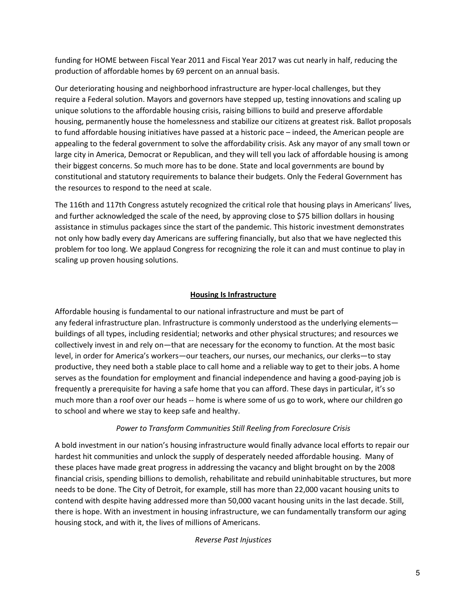funding for HOME between Fiscal Year 2011 and Fiscal Year 2017 was cut nearly in half, reducing the production of affordable homes by 69 percent on an annual basis.

Our deteriorating housing and neighborhood infrastructure are hyper-local challenges, but they require a Federal solution. Mayors and governors have stepped up, testing innovations and scaling up unique solutions to the affordable housing crisis, raising billions to build and preserve affordable housing, permanently house the homelessness and stabilize our citizens at greatest risk. Ballot proposals to fund affordable housing initiatives have passed at a historic pace – indeed, the American people are appealing to the federal government to solve the affordability crisis. Ask any mayor of any small town or large city in America, Democrat or Republican, and they will tell you lack of affordable housing is among their biggest concerns. So much more has to be done. State and local governments are bound by constitutional and statutory requirements to balance their budgets. Only the Federal Government has the resources to respond to the need at scale.

The 116th and 117th Congress astutely recognized the critical role that housing plays in Americans' lives, and further acknowledged the scale of the need, by approving close to \$75 billion dollars in housing assistance in stimulus packages since the start of the pandemic. This historic investment demonstrates not only how badly every day Americans are suffering financially, but also that we have neglected this problem for too long. We applaud Congress for recognizing the role it can and must continue to play in scaling up proven housing solutions.

# **Housing Is Infrastructure**

Affordable housing is fundamental to our national infrastructure and must be part of any federal infrastructure plan. Infrastructure is commonly understood as the underlying elements buildings of all types, including residential; networks and other physical structures; and resources we collectively invest in and rely on—that are necessary for the economy to function. At the most basic level, in order for America's workers—our teachers, our nurses, our mechanics, our clerks—to stay productive, they need both a stable place to call home and a reliable way to get to their jobs. A home serves as the foundation for employment and financial independence and having a good-paying job is frequently a prerequisite for having a safe home that you can afford. These days in particular, it's so much more than a roof over our heads -- home is where some of us go to work, where our children go to school and where we stay to keep safe and healthy.

## *Power to Transform Communities Still Reeling from Foreclosure Crisis*

A bold investment in our nation's housing infrastructure would finally advance local efforts to repair our hardest hit communities and unlock the supply of desperately needed affordable housing. Many of these places have made great progress in addressing the vacancy and blight brought on by the 2008 financial crisis, spending billions to demolish, rehabilitate and rebuild uninhabitable structures, but more needs to be done. The City of Detroit, for example, still has more than 22,000 vacant housing units to contend with despite having addressed more than 50,000 vacant housing units in the last decade. Still, there is hope. With an investment in housing infrastructure, we can fundamentally transform our aging housing stock, and with it, the lives of millions of Americans.

### *Reverse Past Injustices*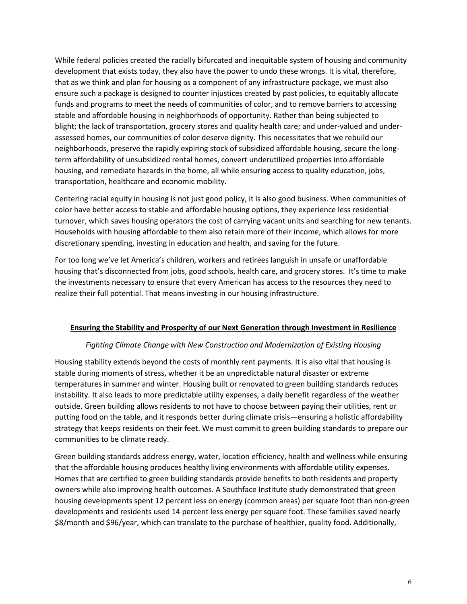While federal policies created the racially bifurcated and inequitable system of housing and community development that exists today, they also have the power to undo these wrongs. It is vital, therefore, that as we think and plan for housing as a component of any infrastructure package, we must also ensure such a package is designed to counter injustices created by past policies, to equitably allocate funds and programs to meet the needs of communities of color, and to remove barriers to accessing stable and affordable housing in neighborhoods of opportunity. Rather than being subjected to blight; the lack of transportation, grocery stores and quality health care; and under-valued and underassessed homes, our communities of color deserve dignity. This necessitates that we rebuild our neighborhoods, preserve the rapidly expiring stock of subsidized affordable housing, secure the longterm affordability of unsubsidized rental homes, convert underutilized properties into affordable housing, and remediate hazards in the home, all while ensuring access to quality education, jobs, transportation, healthcare and economic mobility.  

Centering racial equity in housing is not just good policy, it is also good business. When communities of color have better access to stable and affordable housing options, they experience less residential turnover, which saves housing operators the cost of carrying vacant units and searching for new tenants. Households with housing affordable to them also retain more of their income, which allows for more discretionary spending, investing in education and health, and saving for the future.

For too long we've let America's children, workers and retirees languish in unsafe or unaffordable housing that's disconnected from jobs, good schools, health care, and grocery stores.  It's time to make the investments necessary to ensure that every American has access to the resources they need to realize their full potential. That means investing in our housing infrastructure. 

### **Ensuring the Stability and Prosperity of our Next Generation through Investment in Resilience**

### *Fighting Climate Change with New Construction and Modernization of Existing Housing*

Housing stability extends beyond the costs of monthly rent payments. It is also vital that housing is stable during moments of stress, whether it be an unpredictable natural disaster or extreme temperatures in summer and winter. Housing built or renovated to green building standards reduces instability. It also leads to more predictable utility expenses, a daily benefit regardless of the weather outside. Green building allows residents to not have to choose between paying their utilities, rent or putting food on the table, and it responds better during climate crisis—ensuring a holistic affordability strategy that keeps residents on their feet. We must commit to green building standards to prepare our communities to be climate ready.

Green building standards address energy, water, location efficiency, health and wellness while ensuring that the affordable housing produces healthy living environments with affordable utility expenses. Homes that are certified to green building standards provide benefits to both residents and property owners while also improving health outcomes. A Southface Institute study demonstrated that green housing developments spent 12 percent less on energy (common areas) per square foot than non-green developments and residents used 14 percent less energy per square foot. These families saved nearly \$8/month and \$96/year, which can translate to the purchase of healthier, quality food. Additionally,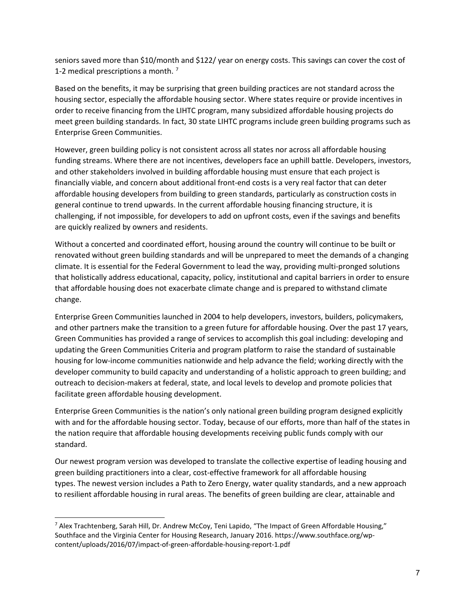seniors saved more than \$10/month and \$122/ year on energy costs. This savings can cover the cost of 1-2 medical prescriptions a month.<sup>[7](#page-6-0)</sup>

Based on the benefits, it may be surprising that green building practices are not standard across the housing sector, especially the affordable housing sector. Where states require or provide incentives in order to receive financing from the LIHTC program, many subsidized affordable housing projects do meet green building standards. In fact, 30 state LIHTC programs include green building programs such as Enterprise Green Communities. 

However, green building policy is not consistent across all states nor across all affordable housing funding streams. Where there are not incentives, developers face an uphill battle. Developers, investors, and other stakeholders involved in building affordable housing must ensure that each project is financially viable, and concern about additional front-end costs is a very real factor that can deter affordable housing developers from building to green standards, particularly as construction costs in general continue to trend upwards. In the current affordable housing financing structure, it is challenging, if not impossible, for developers to add on upfront costs, even if the savings and benefits are quickly realized by owners and residents. 

Without a concerted and coordinated effort, housing around the country will continue to be built or renovated without green building standards and will be unprepared to meet the demands of a changing climate. It is essential for the Federal Government to lead the way, providing multi-pronged solutions that holistically address educational, capacity, policy, institutional and capital barriers in order to ensure that affordable housing does not exacerbate climate change and is prepared to withstand climate change. 

Enterprise Green Communities launched in 2004 to help developers, investors, builders, policymakers, and other partners make the transition to a green future for affordable housing. Over the past 17 years, Green Communities has provided a range of services to accomplish this goal including: developing and updating the Green Communities Criteria and program platform to raise the standard of sustainable housing for low-income communities nationwide and help advance the field; working directly with the developer community to build capacity and understanding of a holistic approach to green building; and outreach to decision-makers at federal, state, and local levels to develop and promote policies that facilitate green affordable housing development. 

Enterprise Green Communities is the nation's only national green building program designed explicitly with and for the affordable housing sector. Today, because of our efforts, more than half of the states in the nation require that affordable housing developments receiving public funds comply with our standard.  

Our newest program version was developed to translate the collective expertise of leading housing and green building practitioners into a clear, cost-effective framework for all affordable housing types. The newest version includes a Path to Zero Energy, water quality standards, and a new approach to resilient affordable housing in rural areas. The benefits of green building are clear, attainable and

<span id="page-6-0"></span> $7$  Alex Trachtenberg, Sarah Hill, Dr. Andrew McCoy, Teni Lapido, "The Impact of Green Affordable Housing," Southface and the Virginia Center for Housing Research, January 2016. https://www.southface.org/wpcontent/uploads/2016/07/impact-of-green-affordable-housing-report-1.pdf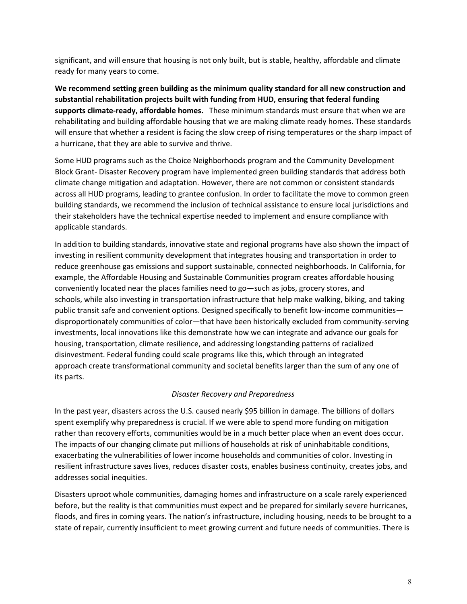significant, and will ensure that housing is not only built, but is stable, healthy, affordable and climate ready for many years to come.

**We recommend setting green building as the minimum quality standard for all new construction and substantial rehabilitation projects built with funding from HUD, ensuring that federal funding supports climate-ready, affordable homes.** These minimum standards must ensure that when we are rehabilitating and building affordable housing that we are making climate ready homes. These standards will ensure that whether a resident is facing the slow creep of rising temperatures or the sharp impact of a hurricane, that they are able to survive and thrive.

Some HUD programs such as the Choice Neighborhoods program and the Community Development Block Grant- Disaster Recovery program have implemented green building standards that address both climate change mitigation and adaptation. However, there are not common or consistent standards across all HUD programs, leading to grantee confusion. In order to facilitate the move to common green building standards, we recommend the inclusion of technical assistance to ensure local jurisdictions and their stakeholders have the technical expertise needed to implement and ensure compliance with applicable standards.

In addition to building standards, innovative state and regional programs have also shown the impact of investing in resilient community development that integrates housing and transportation in order to reduce greenhouse gas emissions and support sustainable, connected neighborhoods. In California, for example, the Affordable Housing and Sustainable Communities program creates affordable housing conveniently located near the places families need to go—such as jobs, grocery stores, and schools, while also investing in transportation infrastructure that help make walking, biking, and taking public transit safe and convenient options. Designed specifically to benefit low-income communities disproportionately communities of color—that have been historically excluded from community-serving investments, local innovations like this demonstrate how we can integrate and advance our goals for housing, transportation, climate resilience, and addressing longstanding patterns of racialized disinvestment. Federal funding could scale programs like this, which through an integrated approach create transformational community and societal benefits larger than the sum of any one of its parts.

## *Disaster Recovery and Preparedness*

In the past year, disasters across the U.S. caused nearly \$95 billion in damage. The billions of dollars spent exemplify why preparedness is crucial. If we were able to spend more funding on mitigation rather than recovery efforts, communities would be in a much better place when an event does occur. The impacts of our changing climate put millions of households at risk of uninhabitable conditions, exacerbating the vulnerabilities of lower income households and communities of color. Investing in resilient infrastructure saves lives, reduces disaster costs, enables business continuity, creates jobs, and addresses social inequities. 

Disasters uproot whole communities, damaging homes and infrastructure on a scale rarely experienced before, but the reality is that communities must expect and be prepared for similarly severe hurricanes, floods, and fires in coming years. The nation's infrastructure, including housing, needs to be brought to a state of repair, currently insufficient to meet growing current and future needs of communities. There is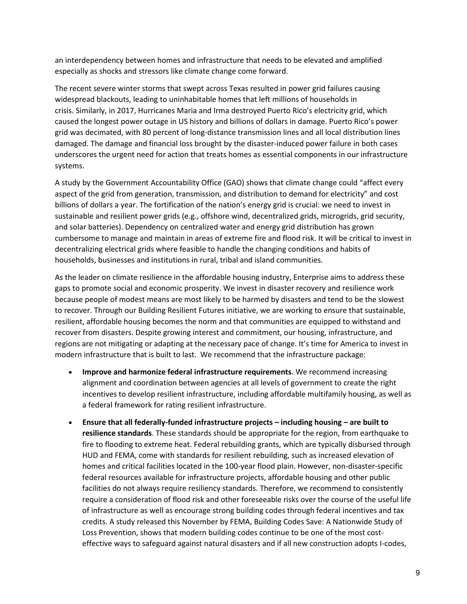an interdependency between homes and infrastructure that needs to be elevated and amplified especially as shocks and stressors like climate change come forward.  

The recent severe winter storms that swept across Texas resulted in power grid failures causing widespread blackouts, leading to uninhabitable homes that left millions of households in crisis. Similarly, in 2017, Hurricanes Maria and Irma destroyed Puerto Rico's electricity grid, which caused the longest power outage in US history and billions of dollars in damage. Puerto Rico's power grid was decimated, with 80 percent of long-distance transmission lines and all local distribution lines damaged. The damage and financial loss brought by the disaster-induced power failure in both cases underscores the urgent need for action that treats homes as essential components in our infrastructure systems. 

A study by the Government Accountability Office (GAO) shows that climate change could "affect every aspect of the grid from generation, transmission, and distribution to demand for electricity" and cost billions of dollars a year. The fortification of the nation's energy grid is crucial: we need to invest in sustainable and resilient power grids (e.g., offshore wind, decentralized grids, microgrids, grid security, and solar batteries). Dependency on centralized water and energy grid distribution has grown cumbersome to manage and maintain in areas of extreme fire and flood risk. It will be critical to invest in decentralizing electrical grids where feasible to handle the changing conditions and habits of households, businesses and institutions in rural, tribal and island communities.  

As the leader on climate resilience in the affordable housing industry, Enterprise aims to address these gaps to promote social and economic prosperity. We invest in disaster recovery and resilience work because people of modest means are most likely to be harmed by disasters and tend to be the slowest to recover. Through our Building Resilient Futures initiative, we are working to ensure that sustainable, resilient, affordable housing becomes the norm and that communities are equipped to withstand and recover from disasters. Despite growing interest and commitment, our housing, infrastructure, and regions are not mitigating or adapting at the necessary pace of change. It's time for America to invest in modern infrastructure that is built to last.  We recommend that the infrastructure package:

- **Improve and harmonize federal infrastructure requirements**. We recommend increasing alignment and coordination between agencies at all levels of government to create the right incentives to develop resilient infrastructure, including affordable multifamily housing, as well as a federal framework for rating resilient infrastructure.
- **Ensure that all federally-funded infrastructure projects – including housing – are built to resilience standards**. These standards should be appropriate for the region, from earthquake to fire to flooding to extreme heat. Federal rebuilding grants, which are typically disbursed through HUD and FEMA, come with standards for resilient rebuilding, such as increased elevation of homes and critical facilities located in the 100-year flood plain. However, non-disaster-specific federal resources available for infrastructure projects, affordable housing and other public facilities do not always require resiliency standards. Therefore, we recommend to consistently require a consideration of flood risk and other foreseeable risks over the course of the useful life of infrastructure as well as encourage strong building codes through federal incentives and tax credits. A study released this November by FEMA, Building Codes Save: A Nationwide Study of Loss Prevention, shows that modern building codes continue to be one of the most costeffective ways to safeguard against natural disasters and if all new construction adopts I-codes,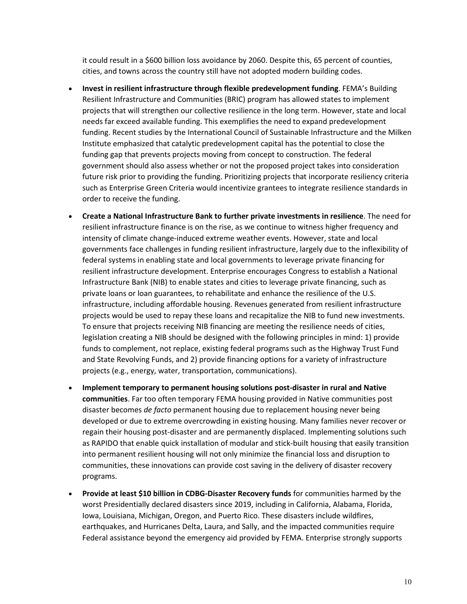it could result in a \$600 billion loss avoidance by 2060. Despite this, 65 percent of counties, cities, and towns across the country still have not adopted modern building codes.

- **Invest in resilient infrastructure through flexible predevelopment funding**. FEMA's Building Resilient Infrastructure and Communities (BRIC) program has allowed states to implement projects that will strengthen our collective resilience in the long term. However, state and local needs far exceed available funding. This exemplifies the need to expand predevelopment funding. Recent studies by the International Council of Sustainable Infrastructure and the Milken Institute emphasized that catalytic predevelopment capital has the potential to close the funding gap that prevents projects moving from concept to construction. The federal government should also assess whether or not the proposed project takes into consideration future risk prior to providing the funding. Prioritizing projects that incorporate resiliency criteria such as Enterprise Green Criteria would incentivize grantees to integrate resilience standards in order to receive the funding.
- **Create a National Infrastructure Bank to further private investments in resilience**. The need for resilient infrastructure finance is on the rise, as we continue to witness higher frequency and intensity of climate change-induced extreme weather events. However, state and local governments face challenges in funding resilient infrastructure, largely due to the inflexibility of federal systems in enabling state and local governments to leverage private financing for resilient infrastructure development. Enterprise encourages Congress to establish a National Infrastructure Bank (NIB) to enable states and cities to leverage private financing, such as private loans or loan guarantees, to rehabilitate and enhance the resilience of the U.S. infrastructure, including affordable housing. Revenues generated from resilient infrastructure projects would be used to repay these loans and recapitalize the NIB to fund new investments. To ensure that projects receiving NIB financing are meeting the resilience needs of cities, legislation creating a NIB should be designed with the following principles in mind: 1) provide funds to complement, not replace, existing federal programs such as the Highway Trust Fund and State Revolving Funds, and 2) provide financing options for a variety of infrastructure projects (e.g., energy, water, transportation, communications).
- **Implement temporary to permanent housing solutions post-disaster in rural and Native communities**. Far too often temporary FEMA housing provided in Native communities post disaster becomes *de facto* permanent housing due to replacement housing never being developed or due to extreme overcrowding in existing housing. Many families never recover or regain their housing post-disaster and are permanently displaced. Implementing solutions such as RAPIDO that enable quick installation of modular and stick-built housing that easily transition into permanent resilient housing will not only minimize the financial loss and disruption to communities, these innovations can provide cost saving in the delivery of disaster recovery programs.
- **Provide at least \$10 billion in CDBG-Disaster Recovery funds** for communities harmed by the worst Presidentially declared disasters since 2019, including in California, Alabama, Florida, Iowa, Louisiana, Michigan, Oregon, and Puerto Rico. These disasters include wildfires, earthquakes, and Hurricanes Delta, Laura, and Sally, and the impacted communities require Federal assistance beyond the emergency aid provided by FEMA. Enterprise strongly supports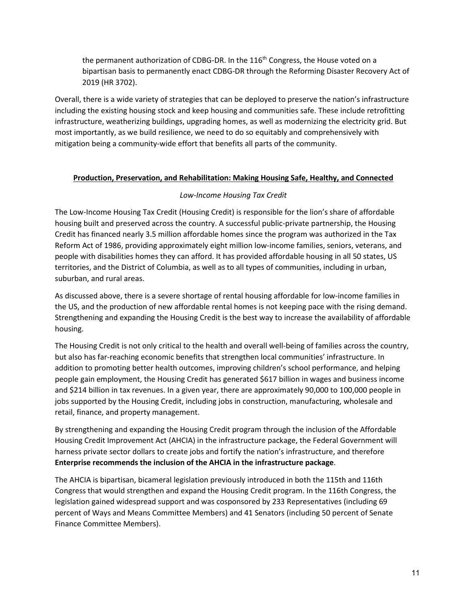the permanent authorization of CDBG-DR. In the  $116<sup>th</sup>$  Congress, the House voted on a bipartisan basis to permanently enact CDBG-DR through the Reforming Disaster Recovery Act of 2019 (HR 3702).

Overall, there is a wide variety of strategies that can be deployed to preserve the nation's infrastructure including the existing housing stock and keep housing and communities safe. These include retrofitting infrastructure, weatherizing buildings, upgrading homes, as well as modernizing the electricity grid. But most importantly, as we build resilience, we need to do so equitably and comprehensively with mitigation being a community-wide effort that benefits all parts of the community.

## **Production, Preservation, and Rehabilitation: Making Housing Safe, Healthy, and Connected**

## *Low-Income Housing Tax Credit*

The Low-Income Housing Tax Credit (Housing Credit) is responsible for the lion's share of affordable housing built and preserved across the country. A successful public-private partnership, the Housing Credit has financed nearly 3.5 million affordable homes since the program was authorized in the Tax Reform Act of 1986, providing approximately eight million low-income families, seniors, veterans, and people with disabilities homes they can afford. It has provided affordable housing in all 50 states, US territories, and the District of Columbia, as well as to all types of communities, including in urban, suburban, and rural areas.

As discussed above, there is a severe shortage of rental housing affordable for low-income families in the US, and the production of new affordable rental homes is not keeping pace with the rising demand. Strengthening and expanding the Housing Credit is the best way to increase the availability of affordable housing.

The Housing Credit is not only critical to the health and overall well-being of families across the country, but also has far-reaching economic benefits that strengthen local communities' infrastructure. In addition to promoting better health outcomes, improving children's school performance, and helping people gain employment, the Housing Credit has generated \$617 billion in wages and business income and \$214 billion in tax revenues. In a given year, there are approximately 90,000 to 100,000 people in jobs supported by the Housing Credit, including jobs in construction, manufacturing, wholesale and retail, finance, and property management.

By strengthening and expanding the Housing Credit program through the inclusion of the Affordable Housing Credit Improvement Act (AHCIA) in the infrastructure package, the Federal Government will harness private sector dollars to create jobs and fortify the nation's infrastructure, and therefore **Enterprise recommends the inclusion of the AHCIA in the infrastructure package**.

The AHCIA is bipartisan, bicameral legislation previously introduced in both the 115th and 116th Congress that would strengthen and expand the Housing Credit program. In the 116th Congress, the legislation gained widespread support and was cosponsored by 233 Representatives (including 69 percent of Ways and Means Committee Members) and 41 Senators (including 50 percent of Senate Finance Committee Members).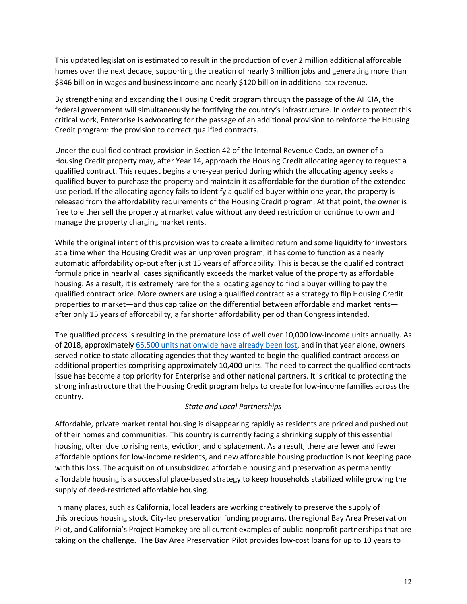This updated legislation is estimated to result in the production of over 2 million additional affordable homes over the next decade, supporting the creation of nearly 3 million jobs and generating more than \$346 billion in wages and business income and nearly \$120 billion in additional tax revenue. 

By strengthening and expanding the Housing Credit program through the passage of the AHCIA, the federal government will simultaneously be fortifying the country's infrastructure. In order to protect this critical work, Enterprise is advocating for the passage of an additional provision to reinforce the Housing Credit program: the provision to correct qualified contracts.

Under the qualified contract provision in Section 42 of the Internal Revenue Code, an owner of a Housing Credit property may, after Year 14, approach the Housing Credit allocating agency to request a qualified contract. This request begins a one-year period during which the allocating agency seeks a qualified buyer to purchase the property and maintain it as affordable for the duration of the extended use period. If the allocating agency fails to identify a qualified buyer within one year, the property is released from the affordability requirements of the Housing Credit program. At that point, the owner is free to either sell the property at market value without any deed restriction or continue to own and manage the property charging market rents.

While the original intent of this provision was to create a limited return and some liquidity for investors at a time when the Housing Credit was an unproven program, it has come to function as a nearly automatic affordability op-out after just 15 years of affordability. This is because the qualified contract formula price in nearly all cases significantly exceeds the market value of the property as affordable housing. As a result, it is extremely rare for the allocating agency to find a buyer willing to pay the qualified contract price. More owners are using a qualified contract as a strategy to flip Housing Credit properties to market—and thus capitalize on the differential between affordable and market rents after only 15 years of affordability, a far shorter affordability period than Congress intended.

The qualified process is resulting in the premature loss of well over 10,000 low-income units annually. As of 2018, approximately [65,500 units nationwide have already been lost,](https://www.ncsha.org/wp-content/uploads/Updated-Qualified-Contract-Proposal-11.15.19.pdf) and in that year alone, owners served notice to state allocating agencies that they wanted to begin the qualified contract process on additional properties comprising approximately 10,400 units. The need to correct the qualified contracts issue has become a top priority for Enterprise and other national partners. It is critical to protecting the strong infrastructure that the Housing Credit program helps to create for low-income families across the country.

## *State and Local Partnerships*

Affordable, private market rental housing is disappearing rapidly as residents are priced and pushed out of their homes and communities. This country is currently facing a shrinking supply of this essential housing, often due to rising rents, eviction, and displacement. As a result, there are fewer and fewer affordable options for low-income residents, and new affordable housing production is not keeping pace with this loss. The acquisition of unsubsidized affordable housing and preservation as permanently affordable housing is a successful place-based strategy to keep households stabilized while growing the supply of deed-restricted affordable housing.

In many places, such as California, local leaders are working creatively to preserve the supply of this precious housing stock. City-led preservation funding programs, the regional Bay Area Preservation Pilot, and California's Project Homekey are all current examples of public-nonprofit partnerships that are taking on the challenge.  The Bay Area Preservation Pilot provides low-cost loans for up to 10 years to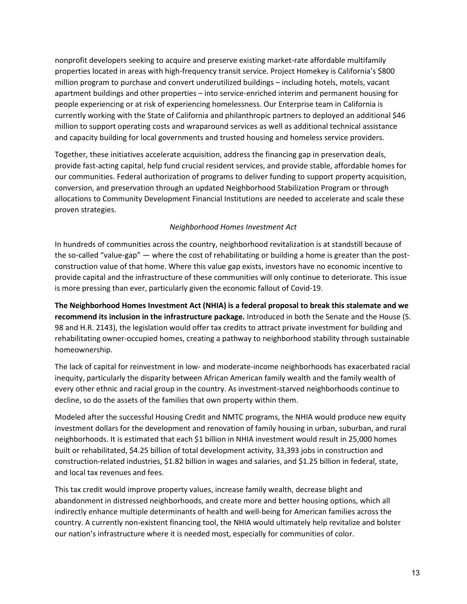nonprofit developers seeking to acquire and preserve existing market-rate affordable multifamily properties located in areas with high-frequency transit service. Project Homekey is California's \$800 million program to purchase and convert underutilized buildings – including hotels, motels, vacant apartment buildings and other properties – into service-enriched interim and permanent housing for people experiencing or at risk of experiencing homelessness. Our Enterprise team in California is currently working with the State of California and philanthropic partners to deployed an additional \$46 million to support operating costs and wraparound services as well as additional technical assistance and capacity building for local governments and trusted housing and homeless service providers.

Together, these initiatives accelerate acquisition, address the financing gap in preservation deals, provide fast-acting capital, help fund crucial resident services, and provide stable, affordable homes for our communities. Federal authorization of programs to deliver funding to support property acquisition, conversion, and preservation through an updated Neighborhood Stabilization Program or through allocations to Community Development Financial Institutions are needed to accelerate and scale these proven strategies.

## *Neighborhood Homes Investment Act*

In hundreds of communities across the country, neighborhood revitalization is at standstill because of the so-called "value-gap" — where the cost of rehabilitating or building a home is greater than the postconstruction value of that home. Where this value gap exists, investors have no economic incentive to provide capital and the infrastructure of these communities will only continue to deteriorate. This issue is more pressing than ever, particularly given the economic fallout of Covid-19.  

**The Neighborhood Homes Investment Act (NHIA) is a federal proposal to break this stalemate and we recommend its inclusion in the infrastructure package.** Introduced in both the Senate and the House (S. 98 and H.R. 2143), the legislation would offer tax credits to attract private investment for building and rehabilitating owner-occupied homes, creating a pathway to neighborhood stability through sustainable homeownership.

The lack of capital for reinvestment in low- and moderate-income neighborhoods has exacerbated racial inequity, particularly the disparity between African American family wealth and the family wealth of every other ethnic and racial group in the country. As investment-starved neighborhoods continue to decline, so do the assets of the families that own property within them.

Modeled after the successful Housing Credit and NMTC programs, the NHIA would produce new equity investment dollars for the development and renovation of family housing in urban, suburban, and rural neighborhoods. It is estimated that each \$1 billion in NHIA investment would result in 25,000 homes built or rehabilitated, \$4.25 billion of total development activity, 33,393 jobs in construction and construction-related industries, \$1.82 billion in wages and salaries, and \$1.25 billion in federal, state, and local tax revenues and fees.

This tax credit would improve property values, increase family wealth, decrease blight and abandonment in distressed neighborhoods, and create more and better housing options, which all indirectly enhance multiple determinants of health and well-being for American families across the country. A currently non-existent financing tool, the NHIA would ultimately help revitalize and bolster our nation's infrastructure where it is needed most, especially for communities of color.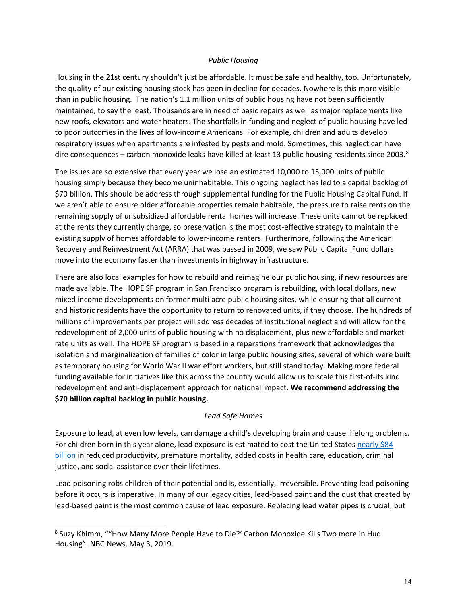### *Public Housing*

Housing in the 21st century shouldn't just be affordable. It must be safe and healthy, too. Unfortunately, the quality of our existing housing stock has been in decline for decades. Nowhere is this more visible than in public housing. The nation's 1.1 million units of public housing have not been sufficiently maintained, to say the least. Thousands are in need of basic repairs as well as major replacements like new roofs, elevators and water heaters. The shortfalls in funding and neglect of public housing have led to poor outcomes in the lives of low-income Americans. For example, children and adults develop respiratory issues when apartments are infested by pests and mold. Sometimes, this neglect can have dire consequences – carbon monoxide leaks have killed at least 13 public housing residents since 2003.<sup>[8](#page-13-0)</sup>

The issues are so extensive that every year we lose an estimated 10,000 to 15,000 units of public housing simply because they become uninhabitable. This ongoing neglect has led to a capital backlog of \$70 billion. This should be address through supplemental funding for the Public Housing Capital Fund. If we aren't able to ensure older affordable properties remain habitable, the pressure to raise rents on the remaining supply of unsubsidized affordable rental homes will increase. These units cannot be replaced at the rents they currently charge, so preservation is the most cost-effective strategy to maintain the existing supply of homes affordable to lower-income renters. Furthermore, following the American Recovery and Reinvestment Act (ARRA) that was passed in 2009, we saw Public Capital Fund dollars move into the economy faster than investments in highway infrastructure.

There are also local examples for how to rebuild and reimagine our public housing, if new resources are made available. The HOPE SF program in San Francisco program is rebuilding, with local dollars, new mixed income developments on former multi acre public housing sites, while ensuring that all current and historic residents have the opportunity to return to renovated units, if they choose. The hundreds of millions of improvements per project will address decades of institutional neglect and will allow for the redevelopment of 2,000 units of public housing with no displacement, plus new affordable and market rate units as well. The HOPE SF program is based in a reparations framework that acknowledges the isolation and marginalization of families of color in large public housing sites, several of which were built as temporary housing for World War II war effort workers, but still stand today. Making more federal funding available for initiatives like this across the country would allow us to scale this first-of-its kind redevelopment and anti-displacement approach for national impact. **We recommend addressing the \$70 billion capital backlog in public housing.**

### *Lead Safe Homes*

Exposure to lead, at even low levels, can damage a child's developing brain and cause lifelong problems. For children born in this year alone, lead exposure is estimated to cost the United States nearly \$84 [billion](https://altarum.org/news/new-online-tool-calculates-cost-and-economic-benefits-preventing-childhood-lead-exposure-united) in reduced productivity, premature mortality, added costs in health care, education, criminal justice, and social assistance over their lifetimes.

Lead poisoning robs children of their potential and is, essentially, irreversible. Preventing lead poisoning before it occurs is imperative. In many of our legacy cities, lead-based paint and the dust that created by lead-based paint is the most common cause of lead exposure. Replacing lead water pipes is crucial, but

<span id="page-13-0"></span><sup>8</sup> Suzy Khimm, ""How Many More People Have to Die?' Carbon Monoxide Kills Two more in Hud Housing". NBC News, May 3, 2019.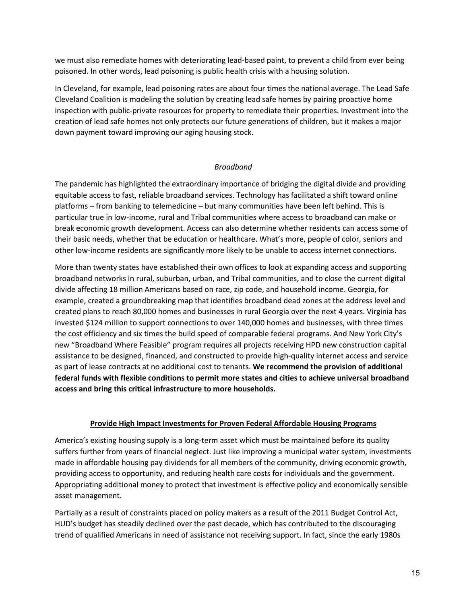we must also remediate homes with deteriorating lead-based paint, to prevent a child from ever being poisoned. In other words, lead poisoning is public health crisis with a housing solution.

In Cleveland, for example, lead poisoning rates are about four times the national average. The Lead Safe Cleveland Coalition is modeling the solution by creating lead safe homes by pairing proactive home inspection with public-private resources for property to remediate their properties. Investment into the creation of lead safe homes not only protects our future generations of children, but it makes a major down payment toward improving our aging housing stock.

### *Broadband*

The pandemic has highlighted the extraordinary importance of bridging the digital divide and providing equitable access to fast, reliable broadband services. Technology has facilitated a shift toward online platforms – from banking to telemedicine – but many communities have been left behind. This is particular true in low-income, rural and Tribal communities where access to broadband can make or break economic growth development. Access can also determine whether residents can access some of their basic needs, whether that be education or healthcare. What's more, people of color, seniors and other low-income residents are significantly more likely to be unable to access internet connections.

More than twenty states have established their own offices to look at expanding access and supporting broadband networks in rural, suburban, urban, and Tribal communities, and to close the current digital divide affecting 18 million Americans based on race, zip code, and household income. Georgia, for example, created a groundbreaking map that identifies broadband dead zones at the address level and created plans to reach 80,000 homes and businesses in rural Georgia over the next 4 years. Virginia has invested \$124 million to support connections to over 140,000 homes and businesses, with three times the cost efficiency and six times the build speed of comparable federal programs. And New York City's new "Broadband Where Feasible" program requires all projects receiving HPD new construction capital assistance to be designed, financed, and constructed to provide high-quality internet access and service as part of lease contracts at no additional cost to tenants. **We recommend the provision of additional federal funds with flexible conditions to permit more states and cities to achieve universal broadband access and bring this critical infrastructure to more households.**

### **Provide High Impact Investments for Proven Federal Affordable Housing Programs**

America's existing housing supply is a long-term asset which must be maintained before its quality suffers further from years of financial neglect. Just like improving a municipal water system, investments made in affordable housing pay dividends for all members of the community, driving economic growth, providing access to opportunity, and reducing health care costs for individuals and the government. Appropriating additional money to protect that investment is effective policy and economically sensible asset management.

Partially as a result of constraints placed on policy makers as a result of the 2011 Budget Control Act, HUD's budget has steadily declined over the past decade, which has contributed to the discouraging trend of qualified Americans in need of assistance not receiving support. In fact, since the early 1980s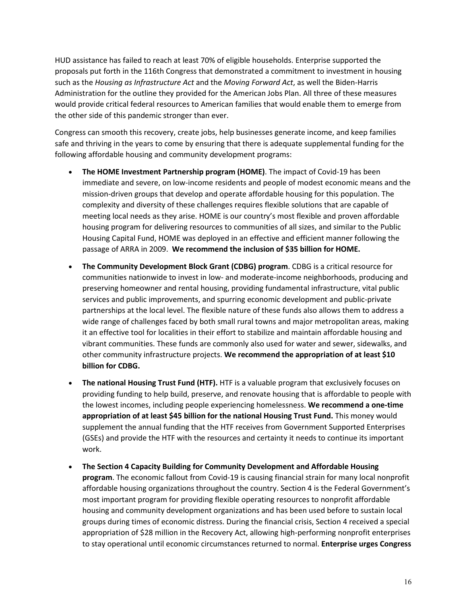HUD assistance has failed to reach at least 70% of eligible households. Enterprise supported the proposals put forth in the 116th Congress that demonstrated a commitment to investment in housing such as the *Housing as Infrastructure Act* and the *Moving Forward Act*, as well the Biden-Harris Administration for the outline they provided for the American Jobs Plan. All three of these measures would provide critical federal resources to American families that would enable them to emerge from the other side of this pandemic stronger than ever.

Congress can smooth this recovery, create jobs, help businesses generate income, and keep families safe and thriving in the years to come by ensuring that there is adequate supplemental funding for the following affordable housing and community development programs:

- **The HOME Investment Partnership program (HOME)**. The impact of Covid-19 has been immediate and severe, on low-income residents and people of modest economic means and the mission-driven groups that develop and operate affordable housing for this population. The complexity and diversity of these challenges requires flexible solutions that are capable of meeting local needs as they arise. HOME is our country's most flexible and proven affordable housing program for delivering resources to communities of all sizes, and similar to the Public Housing Capital Fund, HOME was deployed in an effective and efficient manner following the passage of ARRA in 2009. **We recommend the inclusion of \$35 billion for HOME.**
- **The Community Development Block Grant (CDBG) program**. CDBG is a critical resource for communities nationwide to invest in low- and moderate-income neighborhoods, producing and preserving homeowner and rental housing, providing fundamental infrastructure, vital public services and public improvements, and spurring economic development and public-private partnerships at the local level. The flexible nature of these funds also allows them to address a wide range of challenges faced by both small rural towns and major metropolitan areas, making it an effective tool for localities in their effort to stabilize and maintain affordable housing and vibrant communities. These funds are commonly also used for water and sewer, sidewalks, and other community infrastructure projects. **We recommend the appropriation of at least \$10 billion for CDBG.**
- **The national Housing Trust Fund (HTF).** HTF is a valuable program that exclusively focuses on providing funding to help build, preserve, and renovate housing that is affordable to people with the lowest incomes, including people experiencing homelessness. **We recommend a one-time appropriation of at least \$45 billion for the national Housing Trust Fund.** This money would supplement the annual funding that the HTF receives from Government Supported Enterprises (GSEs) and provide the HTF with the resources and certainty it needs to continue its important work.
- **The Section 4 Capacity Building for Community Development and Affordable Housing program**. The economic fallout from Covid-19 is causing financial strain for many local nonprofit affordable housing organizations throughout the country. Section 4 is the Federal Government's most important program for providing flexible operating resources to nonprofit affordable housing and community development organizations and has been used before to sustain local groups during times of economic distress. During the financial crisis, Section 4 received a special appropriation of \$28 million in the Recovery Act, allowing high-performing nonprofit enterprises to stay operational until economic circumstances returned to normal. **Enterprise urges Congress**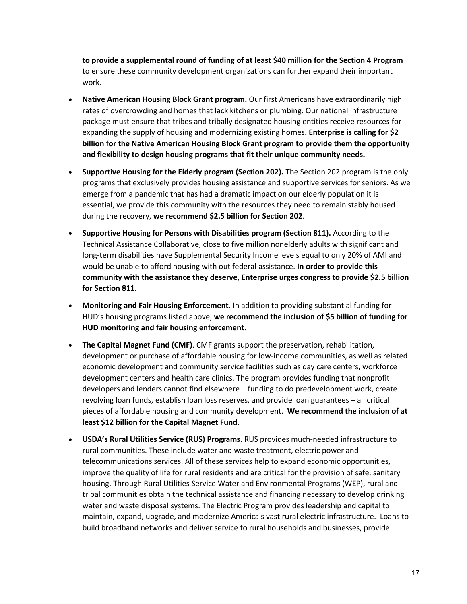**to provide a supplemental round of funding of at least \$40 million for the Section 4 Program** to ensure these community development organizations can further expand their important work.

- **Native American Housing Block Grant program.** Our first Americans have extraordinarily high rates of overcrowding and homes that lack kitchens or plumbing. Our national infrastructure package must ensure that tribes and tribally designated housing entities receive resources for expanding the supply of housing and modernizing existing homes. **Enterprise is calling for \$2 billion for the Native American Housing Block Grant program to provide them the opportunity and flexibility to design housing programs that fit their unique community needs.**
- **Supportive Housing for the Elderly program (Section 202).** The Section 202 program is the only programs that exclusively provides housing assistance and supportive services for seniors. As we emerge from a pandemic that has had a dramatic impact on our elderly population it is essential, we provide this community with the resources they need to remain stably housed during the recovery, **we recommend \$2.5 billion for Section 202**.
- **Supportive Housing for Persons with Disabilities program (Section 811).** According to the Technical Assistance Collaborative, close to five million nonelderly adults with significant and long-term disabilities have Supplemental Security Income levels equal to only 20% of AMI and would be unable to afford housing with out federal assistance. **In order to provide this community with the assistance they deserve, Enterprise urges congress to provide \$2.5 billion for Section 811.**
- **Monitoring and Fair Housing Enforcement.** In addition to providing substantial funding for HUD's housing programs listed above, **we recommend the inclusion of \$5 billion of funding for HUD monitoring and fair housing enforcement**.
- **The Capital Magnet Fund (CMF)**. CMF grants support the preservation, rehabilitation, development or purchase of affordable housing for low-income communities, as well as related economic development and community service facilities such as day care centers, workforce development centers and health care clinics. The program provides funding that nonprofit developers and lenders cannot find elsewhere – funding to do predevelopment work, create revolving loan funds, establish loan loss reserves, and provide loan guarantees – all critical pieces of affordable housing and community development. **We recommend the inclusion of at least \$12 billion for the Capital Magnet Fund**.
- **USDA's Rural Utilities Service (RUS) Programs**. RUS provides much-needed infrastructure to rural communities. These include water and waste treatment, electric power and telecommunications services. All of these services help to expand economic opportunities, improve the quality of life for rural residents and are critical for the provision of safe, sanitary housing. Through Rural Utilities Service Water and Environmental Programs (WEP), rural and tribal communities obtain the technical assistance and financing necessary to develop drinking water and waste disposal systems. The Electric Program provides leadership and capital to maintain, expand, upgrade, and modernize America's vast rural electric infrastructure.  Loans to build broadband networks and deliver service to rural households and businesses, provide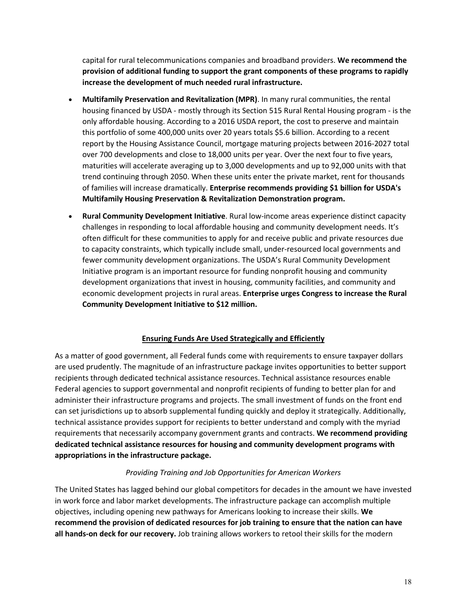capital for rural telecommunications companies and broadband providers. **We recommend the provision of additional funding to support the grant components of these programs to rapidly increase the development of much needed rural infrastructure.**

- **Multifamily Preservation and Revitalization (MPR)**. In many rural communities, the rental housing financed by USDA - mostly through its Section 515 Rural Rental Housing program - is the only affordable housing. According to a 2016 USDA report, the cost to preserve and maintain this portfolio of some 400,000 units over 20 years totals \$5.6 billion. According to a recent report by the Housing Assistance Council, mortgage maturing projects between 2016-2027 total over 700 developments and close to 18,000 units per year. Over the next four to five years, maturities will accelerate averaging up to 3,000 developments and up to 92,000 units with that trend continuing through 2050. When these units enter the private market, rent for thousands of families will increase dramatically. **Enterprise recommends providing \$1 billion for USDA's Multifamily Housing Preservation & Revitalization Demonstration program.**
- **Rural Community Development Initiative**. Rural low-income areas experience distinct capacity challenges in responding to local affordable housing and community development needs. It's often difficult for these communities to apply for and receive public and private resources due to capacity constraints, which typically include small, under-resourced local governments and fewer community development organizations. The USDA's Rural Community Development Initiative program is an important resource for funding nonprofit housing and community development organizations that invest in housing, community facilities, and community and economic development projects in rural areas. **Enterprise urges Congress to increase the Rural Community Development Initiative to \$12 million.**

## **Ensuring Funds Are Used Strategically and Efficiently**

As a matter of good government, all Federal funds come with requirements to ensure taxpayer dollars are used prudently. The magnitude of an infrastructure package invites opportunities to better support recipients through dedicated technical assistance resources. Technical assistance resources enable Federal agencies to support governmental and nonprofit recipients of funding to better plan for and administer their infrastructure programs and projects. The small investment of funds on the front end can set jurisdictions up to absorb supplemental funding quickly and deploy it strategically. Additionally, technical assistance provides support for recipients to better understand and comply with the myriad requirements that necessarily accompany government grants and contracts. **We recommend providing dedicated technical assistance resources for housing and community development programs with appropriations in the infrastructure package.**

### *Providing Training and Job Opportunities for American Workers*

The United States has lagged behind our global competitors for decades in the amount we have invested in work force and labor market developments. The infrastructure package can accomplish multiple objectives, including opening new pathways for Americans looking to increase their skills. **We recommend the provision of dedicated resources for job training to ensure that the nation can have all hands-on deck for our recovery.** Job training allows workers to retool their skills for the modern